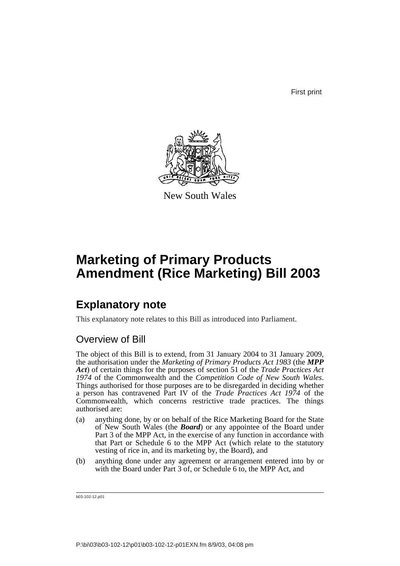First print



New South Wales

# **Marketing of Primary Products Amendment (Rice Marketing) Bill 2003**

## **Explanatory note**

This explanatory note relates to this Bill as introduced into Parliament.

### Overview of Bill

The object of this Bill is to extend, from 31 January 2004 to 31 January 2009, the authorisation under the *Marketing of Primary Products Act 1983* (the *MPP Act*) of certain things for the purposes of section 51 of the *Trade Practices Act 1974* of the Commonwealth and the *Competition Code of New South Wales*. Things authorised for those purposes are to be disregarded in deciding whether a person has contravened Part IV of the *Trade Practices Act 1974* of the Commonwealth, which concerns restrictive trade practices. The things authorised are:

- (a) anything done, by or on behalf of the Rice Marketing Board for the State of New South Wales (the *Board*) or any appointee of the Board under Part 3 of the MPP Act, in the exercise of any function in accordance with that Part or Schedule 6 to the MPP Act (which relate to the statutory vesting of rice in, and its marketing by, the Board), and
- (b) anything done under any agreement or arrangement entered into by or with the Board under Part 3 of, or Schedule 6 to, the MPP Act, and

b03-102-12.p01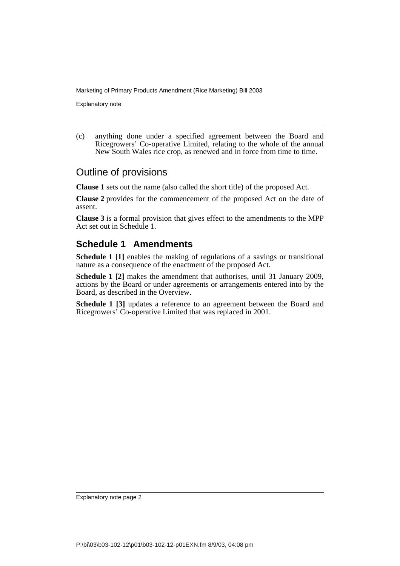Marketing of Primary Products Amendment (Rice Marketing) Bill 2003

Explanatory note

(c) anything done under a specified agreement between the Board and Ricegrowers' Co-operative Limited, relating to the whole of the annual New South Wales rice crop, as renewed and in force from time to time.

#### Outline of provisions

**Clause 1** sets out the name (also called the short title) of the proposed Act.

**Clause 2** provides for the commencement of the proposed Act on the date of assent.

**Clause 3** is a formal provision that gives effect to the amendments to the MPP Act set out in Schedule 1.

#### **Schedule 1 Amendments**

**Schedule 1 [1]** enables the making of regulations of a savings or transitional nature as a consequence of the enactment of the proposed Act.

**Schedule 1 [2]** makes the amendment that authorises, until 31 January 2009, actions by the Board or under agreements or arrangements entered into by the Board, as described in the Overview.

**Schedule 1 [3]** updates a reference to an agreement between the Board and Ricegrowers' Co-operative Limited that was replaced in 2001.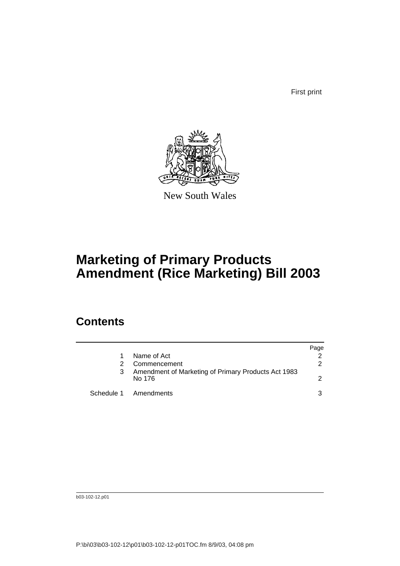First print



New South Wales

# **Marketing of Primary Products Amendment (Rice Marketing) Bill 2003**

### **Contents**

|   |                                                               | Page          |
|---|---------------------------------------------------------------|---------------|
|   | Name of Act                                                   |               |
|   | Commencement                                                  | 2             |
| 3 | Amendment of Marketing of Primary Products Act 1983<br>No 176 | $\mathcal{P}$ |
|   | Schedule 1 Amendments                                         | 3             |

b03-102-12.p01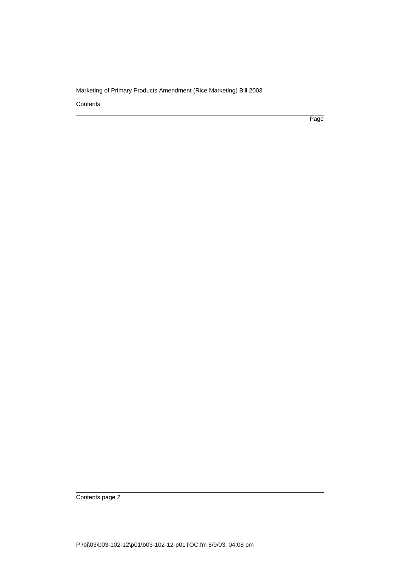#### Marketing of Primary Products Amendment (Rice Marketing) Bill 2003

**Contents** 

Page

Contents page 2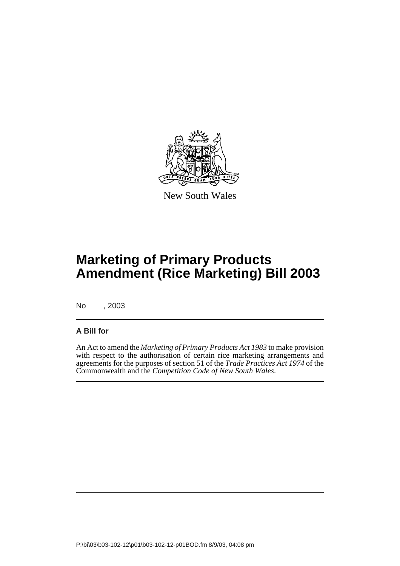

New South Wales

# **Marketing of Primary Products Amendment (Rice Marketing) Bill 2003**

No , 2003

#### **A Bill for**

An Act to amend the *Marketing of Primary Products Act 1983* to make provision with respect to the authorisation of certain rice marketing arrangements and agreements for the purposes of section 51 of the *Trade Practices Act 1974* of the Commonwealth and the *Competition Code of New South Wales*.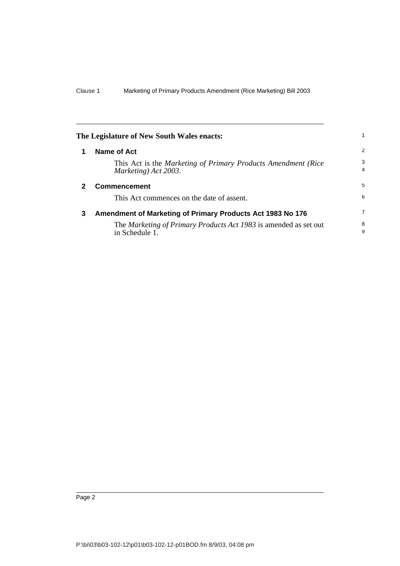<span id="page-5-2"></span><span id="page-5-1"></span><span id="page-5-0"></span>

| The Legislature of New South Wales enacts: |                                                                                       | $\mathbf{1}$   |
|--------------------------------------------|---------------------------------------------------------------------------------------|----------------|
| 1                                          | Name of Act                                                                           | 2              |
|                                            | This Act is the Marketing of Primary Products Amendment (Rice<br>Marketing) Act 2003. | 3<br>4         |
| 2                                          | <b>Commencement</b>                                                                   | 5              |
|                                            | This Act commences on the date of assent.                                             | 6              |
| 3                                          | Amendment of Marketing of Primary Products Act 1983 No 176                            | $\overline{7}$ |
|                                            | The Marketing of Primary Products Act 1983 is amended as set out<br>in Schedule 1.    | 8<br>9         |